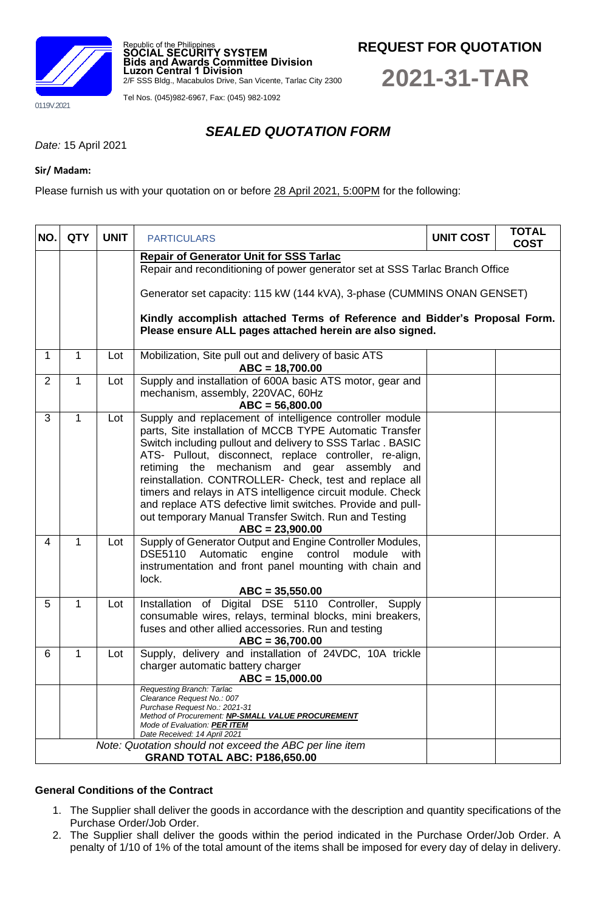

Republic of the Philippines **SOCIAL SECURITY SYSTEM Bids and Awards Committee Division Luzon Central 1 Division**

2/F SSS Bldg., Macabulos Drive, San Vicente, Tarlac City 2300

Tel Nos. (045)982-6967, Fax: (045) 982-1092

**REQUEST FOR QUOTATION**

**2021-31-TAR**

# *SEALED QUOTATION FORM*

*Date:* 15 April 2021

### **Sir/ Madam:**

Please furnish us with your quotation on or before 28 April 2021, 5:00PM for the following:

| NO.            | <b>QTY</b>                          | <b>UNIT</b> | <b>PARTICULARS</b>                                                                                                                                                                                                                                                                                                                                                                                                                                                                                                                                                      | <b>UNIT COST</b> | <b>TOTAL</b><br><b>COST</b> |  |  |  |  |
|----------------|-------------------------------------|-------------|-------------------------------------------------------------------------------------------------------------------------------------------------------------------------------------------------------------------------------------------------------------------------------------------------------------------------------------------------------------------------------------------------------------------------------------------------------------------------------------------------------------------------------------------------------------------------|------------------|-----------------------------|--|--|--|--|
|                |                                     |             | <b>Repair of Generator Unit for SSS Tarlac</b><br>Repair and reconditioning of power generator set at SSS Tarlac Branch Office<br>Generator set capacity: 115 kW (144 kVA), 3-phase (CUMMINS ONAN GENSET)<br>Kindly accomplish attached Terms of Reference and Bidder's Proposal Form.<br>Please ensure ALL pages attached herein are also signed.                                                                                                                                                                                                                      |                  |                             |  |  |  |  |
| 1              | $\mathbf{1}$                        | Lot         | Mobilization, Site pull out and delivery of basic ATS<br>$ABC = 18,700.00$                                                                                                                                                                                                                                                                                                                                                                                                                                                                                              |                  |                             |  |  |  |  |
| $\overline{2}$ | $\mathbf{1}$                        | Lot         | Supply and installation of 600A basic ATS motor, gear and<br>mechanism, assembly, 220VAC, 60Hz<br>$ABC = 56,800.00$                                                                                                                                                                                                                                                                                                                                                                                                                                                     |                  |                             |  |  |  |  |
| 3              | $\mathbf{1}$                        | Lot         | Supply and replacement of intelligence controller module<br>parts, Site installation of MCCB TYPE Automatic Transfer<br>Switch including pullout and delivery to SSS Tarlac. BASIC<br>ATS- Pullout, disconnect, replace controller, re-align,<br>mechanism and gear assembly and<br>retiming the<br>reinstallation. CONTROLLER- Check, test and replace all<br>timers and relays in ATS intelligence circuit module. Check<br>and replace ATS defective limit switches. Provide and pull-<br>out temporary Manual Transfer Switch. Run and Testing<br>$ABC = 23,900.00$ |                  |                             |  |  |  |  |
| $\overline{4}$ | $\mathbf{1}$                        | Lot         | Supply of Generator Output and Engine Controller Modules,<br>DSE5110 Automatic engine control module<br>with<br>instrumentation and front panel mounting with chain and<br>lock.<br>$ABC = 35,550.00$                                                                                                                                                                                                                                                                                                                                                                   |                  |                             |  |  |  |  |
| 5              | $\mathbf{1}$                        | Lot         | Installation of Digital DSE 5110 Controller, Supply<br>consumable wires, relays, terminal blocks, mini breakers,<br>fuses and other allied accessories. Run and testing<br>$ABC = 36,700.00$                                                                                                                                                                                                                                                                                                                                                                            |                  |                             |  |  |  |  |
| 6              | $\mathbf{1}$                        | Lot         | Supply, delivery and installation of 24VDC, 10A trickle<br>charger automatic battery charger<br>$ABC = 15,000.00$                                                                                                                                                                                                                                                                                                                                                                                                                                                       |                  |                             |  |  |  |  |
|                |                                     |             | Requesting Branch: Tarlac<br>Clearance Request No.: 007<br>Purchase Request No.: 2021-31<br>Method of Procurement: NP-SMALL VALUE PROCUREMENT<br>Mode of Evaluation: PER ITEM<br>Date Received: 14 April 2021<br>Note: Quotation should not exceed the ABC per line item                                                                                                                                                                                                                                                                                                |                  |                             |  |  |  |  |
|                | <b>GRAND TOTAL ABC: P186,650.00</b> |             |                                                                                                                                                                                                                                                                                                                                                                                                                                                                                                                                                                         |                  |                             |  |  |  |  |

### **General Conditions of the Contract**

- 1. The Supplier shall deliver the goods in accordance with the description and quantity specifications of the Purchase Order/Job Order.
- 2. The Supplier shall deliver the goods within the period indicated in the Purchase Order/Job Order. A penalty of 1/10 of 1% of the total amount of the items shall be imposed for every day of delay in delivery.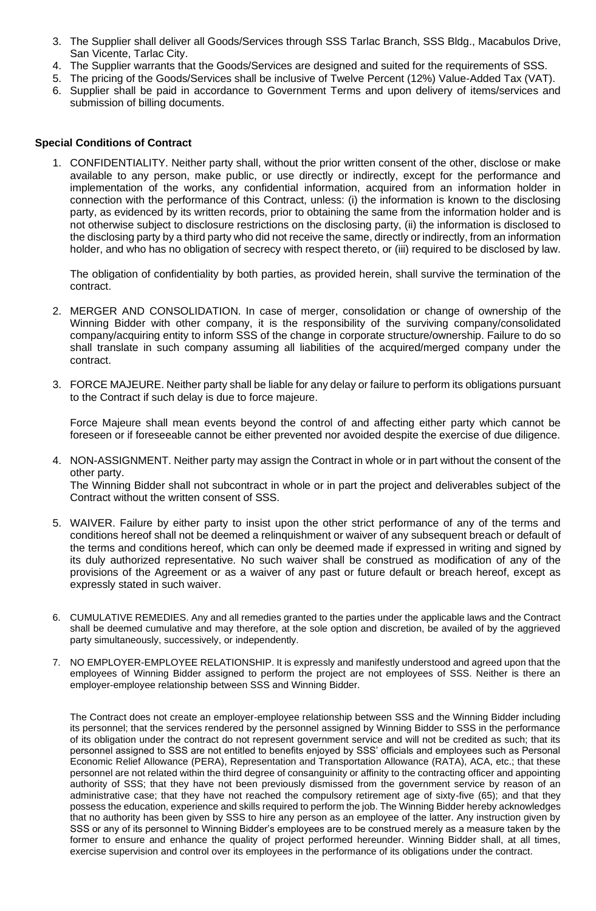- 3. The Supplier shall deliver all Goods/Services through SSS Tarlac Branch, SSS Bldg., Macabulos Drive, San Vicente, Tarlac City.
- 4. The Supplier warrants that the Goods/Services are designed and suited for the requirements of SSS.
- 5. The pricing of the Goods/Services shall be inclusive of Twelve Percent (12%) Value-Added Tax (VAT).
- 6. Supplier shall be paid in accordance to Government Terms and upon delivery of items/services and submission of billing documents.

### **Special Conditions of Contract**

1. CONFIDENTIALITY. Neither party shall, without the prior written consent of the other, disclose or make available to any person, make public, or use directly or indirectly, except for the performance and implementation of the works, any confidential information, acquired from an information holder in connection with the performance of this Contract, unless: (i) the information is known to the disclosing party, as evidenced by its written records, prior to obtaining the same from the information holder and is not otherwise subject to disclosure restrictions on the disclosing party, (ii) the information is disclosed to the disclosing party by a third party who did not receive the same, directly or indirectly, from an information holder, and who has no obligation of secrecy with respect thereto, or (iii) required to be disclosed by law.

The obligation of confidentiality by both parties, as provided herein, shall survive the termination of the contract.

- 2. MERGER AND CONSOLIDATION. In case of merger, consolidation or change of ownership of the Winning Bidder with other company, it is the responsibility of the surviving company/consolidated company/acquiring entity to inform SSS of the change in corporate structure/ownership. Failure to do so shall translate in such company assuming all liabilities of the acquired/merged company under the contract.
- 3. FORCE MAJEURE. Neither party shall be liable for any delay or failure to perform its obligations pursuant to the Contract if such delay is due to force majeure.

Force Majeure shall mean events beyond the control of and affecting either party which cannot be foreseen or if foreseeable cannot be either prevented nor avoided despite the exercise of due diligence.

- 4. NON-ASSIGNMENT. Neither party may assign the Contract in whole or in part without the consent of the other party. The Winning Bidder shall not subcontract in whole or in part the project and deliverables subject of the Contract without the written consent of SSS.
- 5. WAIVER. Failure by either party to insist upon the other strict performance of any of the terms and conditions hereof shall not be deemed a relinquishment or waiver of any subsequent breach or default of the terms and conditions hereof, which can only be deemed made if expressed in writing and signed by its duly authorized representative. No such waiver shall be construed as modification of any of the provisions of the Agreement or as a waiver of any past or future default or breach hereof, except as expressly stated in such waiver.
- 6. CUMULATIVE REMEDIES. Any and all remedies granted to the parties under the applicable laws and the Contract shall be deemed cumulative and may therefore, at the sole option and discretion, be availed of by the aggrieved party simultaneously, successively, or independently.
- 7. NO EMPLOYER-EMPLOYEE RELATIONSHIP. It is expressly and manifestly understood and agreed upon that the employees of Winning Bidder assigned to perform the project are not employees of SSS. Neither is there an employer-employee relationship between SSS and Winning Bidder.

The Contract does not create an employer-employee relationship between SSS and the Winning Bidder including its personnel; that the services rendered by the personnel assigned by Winning Bidder to SSS in the performance of its obligation under the contract do not represent government service and will not be credited as such; that its personnel assigned to SSS are not entitled to benefits enjoyed by SSS' officials and employees such as Personal Economic Relief Allowance (PERA), Representation and Transportation Allowance (RATA), ACA, etc.; that these personnel are not related within the third degree of consanguinity or affinity to the contracting officer and appointing authority of SSS; that they have not been previously dismissed from the government service by reason of an administrative case; that they have not reached the compulsory retirement age of sixty-five (65); and that they possess the education, experience and skills required to perform the job. The Winning Bidder hereby acknowledges that no authority has been given by SSS to hire any person as an employee of the latter. Any instruction given by SSS or any of its personnel to Winning Bidder's employees are to be construed merely as a measure taken by the former to ensure and enhance the quality of project performed hereunder. Winning Bidder shall, at all times, exercise supervision and control over its employees in the performance of its obligations under the contract.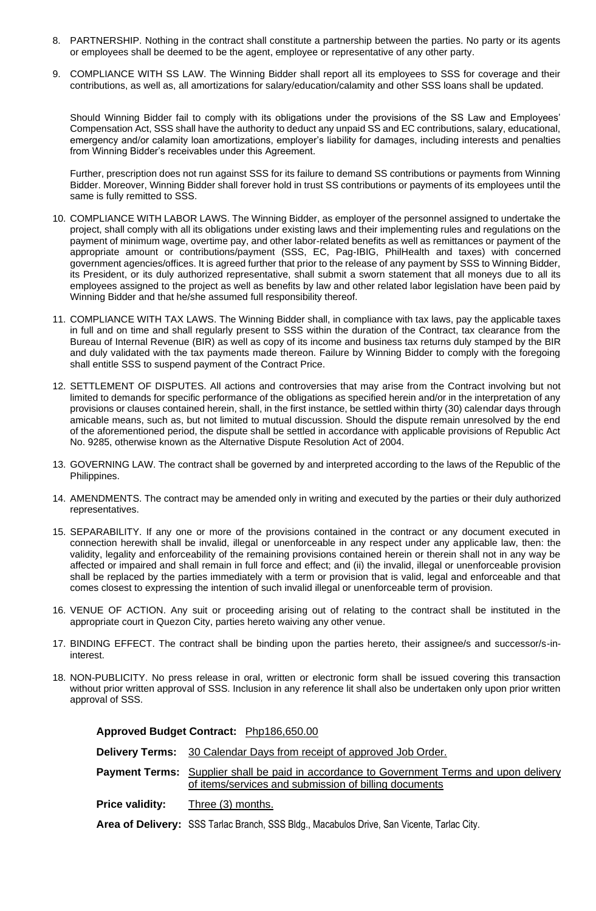- 8. PARTNERSHIP. Nothing in the contract shall constitute a partnership between the parties. No party or its agents or employees shall be deemed to be the agent, employee or representative of any other party.
- 9. COMPLIANCE WITH SS LAW. The Winning Bidder shall report all its employees to SSS for coverage and their contributions, as well as, all amortizations for salary/education/calamity and other SSS loans shall be updated.

Should Winning Bidder fail to comply with its obligations under the provisions of the SS Law and Employees' Compensation Act, SSS shall have the authority to deduct any unpaid SS and EC contributions, salary, educational, emergency and/or calamity loan amortizations, employer's liability for damages, including interests and penalties from Winning Bidder's receivables under this Agreement.

Further, prescription does not run against SSS for its failure to demand SS contributions or payments from Winning Bidder. Moreover, Winning Bidder shall forever hold in trust SS contributions or payments of its employees until the same is fully remitted to SSS.

- 10. COMPLIANCE WITH LABOR LAWS. The Winning Bidder, as employer of the personnel assigned to undertake the project, shall comply with all its obligations under existing laws and their implementing rules and regulations on the payment of minimum wage, overtime pay, and other labor-related benefits as well as remittances or payment of the appropriate amount or contributions/payment (SSS, EC, Pag-IBIG, PhilHealth and taxes) with concerned government agencies/offices. It is agreed further that prior to the release of any payment by SSS to Winning Bidder, its President, or its duly authorized representative, shall submit a sworn statement that all moneys due to all its employees assigned to the project as well as benefits by law and other related labor legislation have been paid by Winning Bidder and that he/she assumed full responsibility thereof.
- 11. COMPLIANCE WITH TAX LAWS. The Winning Bidder shall, in compliance with tax laws, pay the applicable taxes in full and on time and shall regularly present to SSS within the duration of the Contract, tax clearance from the Bureau of Internal Revenue (BIR) as well as copy of its income and business tax returns duly stamped by the BIR and duly validated with the tax payments made thereon. Failure by Winning Bidder to comply with the foregoing shall entitle SSS to suspend payment of the Contract Price.
- 12. SETTLEMENT OF DISPUTES. All actions and controversies that may arise from the Contract involving but not limited to demands for specific performance of the obligations as specified herein and/or in the interpretation of any provisions or clauses contained herein, shall, in the first instance, be settled within thirty (30) calendar days through amicable means, such as, but not limited to mutual discussion. Should the dispute remain unresolved by the end of the aforementioned period, the dispute shall be settled in accordance with applicable provisions of Republic Act No. 9285, otherwise known as the Alternative Dispute Resolution Act of 2004.
- 13. GOVERNING LAW. The contract shall be governed by and interpreted according to the laws of the Republic of the Philippines.
- 14. AMENDMENTS. The contract may be amended only in writing and executed by the parties or their duly authorized representatives.
- 15. SEPARABILITY. If any one or more of the provisions contained in the contract or any document executed in connection herewith shall be invalid, illegal or unenforceable in any respect under any applicable law, then: the validity, legality and enforceability of the remaining provisions contained herein or therein shall not in any way be affected or impaired and shall remain in full force and effect; and (ii) the invalid, illegal or unenforceable provision shall be replaced by the parties immediately with a term or provision that is valid, legal and enforceable and that comes closest to expressing the intention of such invalid illegal or unenforceable term of provision.
- 16. VENUE OF ACTION. Any suit or proceeding arising out of relating to the contract shall be instituted in the appropriate court in Quezon City, parties hereto waiving any other venue.
- 17. BINDING EFFECT. The contract shall be binding upon the parties hereto, their assignee/s and successor/s-ininterest.
- 18. NON-PUBLICITY. No press release in oral, written or electronic form shall be issued covering this transaction without prior written approval of SSS. Inclusion in any reference lit shall also be undertaken only upon prior written approval of SSS.

|                        | Approved Budget Contract: Php186,650.00                                                                                                                   |  |  |  |
|------------------------|-----------------------------------------------------------------------------------------------------------------------------------------------------------|--|--|--|
|                        | <b>Delivery Terms:</b> 30 Calendar Days from receipt of approved Job Order.                                                                               |  |  |  |
|                        | <b>Payment Terms:</b> Supplier shall be paid in accordance to Government Terms and upon delivery<br>of items/services and submission of billing documents |  |  |  |
| <b>Price validity:</b> | Three (3) months.                                                                                                                                         |  |  |  |
|                        | Area of Delivery: SSS Tarlac Branch, SSS Bldg., Macabulos Drive, San Vicente, Tarlac City.                                                                |  |  |  |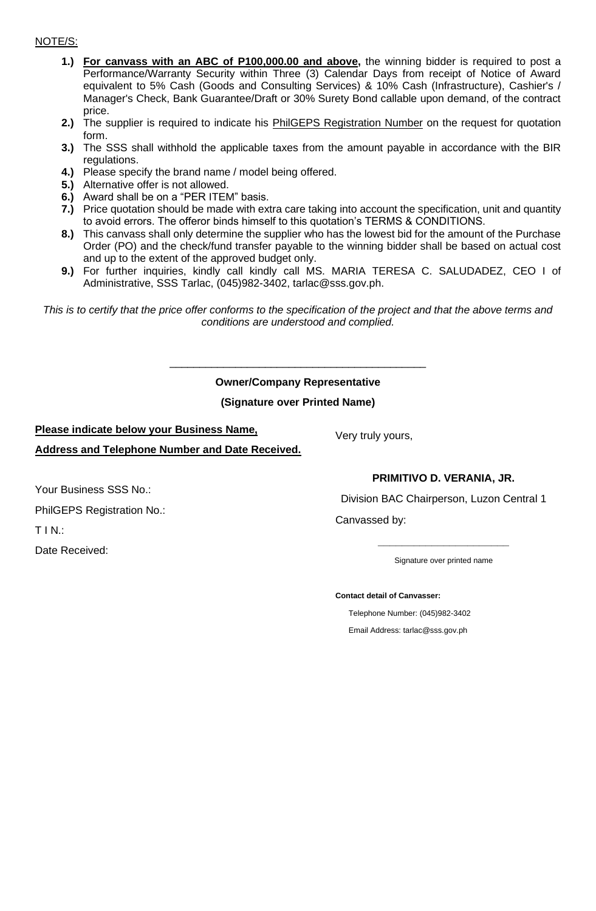### NOTE/S:

- **1.) For canvass with an ABC of P100,000.00 and above,** the winning bidder is required to post a Performance/Warranty Security within Three (3) Calendar Days from receipt of Notice of Award equivalent to 5% Cash (Goods and Consulting Services) & 10% Cash (Infrastructure), Cashier's / Manager's Check, Bank Guarantee/Draft or 30% Surety Bond callable upon demand, of the contract price.
- **2.)** The supplier is required to indicate his PhilGEPS Registration Number on the request for quotation form.
- **3.)** The SSS shall withhold the applicable taxes from the amount payable in accordance with the BIR regulations.
- **4.)** Please specify the brand name / model being offered.
- **5.)** Alternative offer is not allowed.
- **6.)** Award shall be on a "PER ITEM" basis.
- **7.)** Price quotation should be made with extra care taking into account the specification, unit and quantity to avoid errors. The offeror binds himself to this quotation's TERMS & CONDITIONS.
- **8.)** This canvass shall only determine the supplier who has the lowest bid for the amount of the Purchase Order (PO) and the check/fund transfer payable to the winning bidder shall be based on actual cost and up to the extent of the approved budget only.
- **9.)** For further inquiries, kindly call kindly call MS. MARIA TERESA C. SALUDADEZ, CEO I of Administrative, SSS Tarlac, (045)982-3402, tarlac@sss.gov.ph.

*This is to certify that the price offer conforms to the specification of the project and that the above terms and conditions are understood and complied.*

## **Owner/Company Representative**

\_\_\_\_\_\_\_\_\_\_\_\_\_\_\_\_\_\_\_\_\_\_\_\_\_\_\_\_\_\_\_\_\_\_\_\_\_\_\_\_\_\_\_

### **(Signature over Printed Name)**

### **Please indicate below your Business Name,**

**Address and Telephone Number and Date Received.**

# **PRIMITIVO D. VERANIA, JR.**

Division BAC Chairperson, Luzon Central 1

Canvassed by:

Very truly yours,

**\_\_\_\_\_\_\_\_\_\_\_\_\_\_\_\_\_\_\_\_\_\_** Signature over printed name

**Contact detail of Canvasser:**

Telephone Number: (045)982-3402 Email Address: tarlac@sss.gov.ph

Your Business SSS No.:

PhilGEPS Registration No.:

T I N.:

Date Received: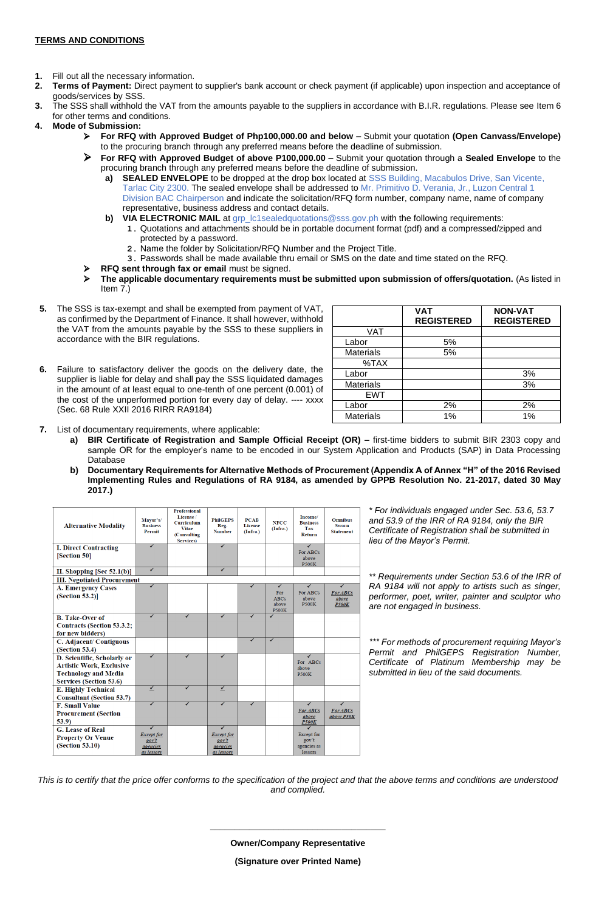### **TERMS AND CONDITIONS**

- **1.** Fill out all the necessary information.
- **2. Terms of Payment:** Direct payment to supplier's bank account or check payment (if applicable) upon inspection and acceptance of goods/services by SSS.
- **3.** The SSS shall withhold the VAT from the amounts payable to the suppliers in accordance with B.I.R. regulations. Please see Item 6 for other terms and conditions.
- **4. Mode of Submission:**
	- ➢ **For RFQ with Approved Budget of Php100,000.00 and below –** Submit your quotation **(Open Canvass/Envelope)**  to the procuring branch through any preferred means before the deadline of submission.
	- ➢ **For RFQ with Approved Budget of above P100,000.00 –** Submit your quotation through a **Sealed Envelope** to the procuring branch through any preferred means before the deadline of submission.
		- **a) SEALED ENVELOPE** to be dropped at the drop box located at SSS Building, Macabulos Drive, San Vicente, Tarlac City 2300. The sealed envelope shall be addressed to Mr. Primitivo D. Verania, Jr., Luzon Central 1 Division BAC Chairperson and indicate the solicitation/RFQ form number, company name, name of company representative, business address and contact details.
		- **b) VIA ELECTRONIC MAIL** at grp\_lc1sealedquotations@sss.gov.ph with the following requirements:
			- **1.** Quotations and attachments should be in portable document format (pdf) and a compressed/zipped and protected by a password.
				- **2.** Name the folder by Solicitation/RFQ Number and the Project Title.
				- **3.** Passwords shall be made available thru email or SMS on the date and time stated on the RFQ.
		- ➢ **RFQ sent through fax or email** must be signed.
	- ➢ **The applicable documentary requirements must be submitted upon submission of offers/quotation.** (As listed in Item 7.)
- **5.** The SSS is tax-exempt and shall be exempted from payment of VAT, as confirmed by the Department of Finance. It shall however, withhold the VAT from the amounts payable by the SSS to these suppliers in accordance with the BIR regulations.
- **6.** Failure to satisfactory deliver the goods on the delivery date, the supplier is liable for delay and shall pay the SSS liquidated damages in the amount of at least equal to one-tenth of one percent (0.001) of the cost of the unperformed portion for every day of delay. ---- xxxx (Sec. 68 Rule XXII 2016 RIRR RA9184)

|                  | <b>VAT</b><br><b>REGISTERED</b> | <b>NON-VAT</b><br><b>REGISTERED</b> |
|------------------|---------------------------------|-------------------------------------|
| <b>VAT</b>       |                                 |                                     |
| Labor            | 5%                              |                                     |
| <b>Materials</b> | 5%                              |                                     |
| %TAX             |                                 |                                     |
| Labor            |                                 | 3%                                  |
| <b>Materials</b> |                                 | 3%                                  |
| <b>EWT</b>       |                                 |                                     |
| Labor            | 2%                              | 2%                                  |
| <b>Materials</b> | 1%                              | 1%                                  |

- **7.** List of documentary requirements, where applicable:
	- **a) BIR Certificate of Registration and Sample Official Receipt (OR) –** first-time bidders to submit BIR 2303 copy and sample OR for the employer's name to be encoded in our System Application and Products (SAP) in Data Processing Database
	- **b) Documentary Requirements for Alternative Methods of Procurement (Appendix A of Annex "H" of the 2016 Revised Implementing Rules and Regulations of RA 9184, as amended by GPPB Resolution No. 21-2017, dated 30 May 2017.)**

| <b>Alternative Modality</b>                                                                                              | Mavor's/<br><b>Business</b><br>Permit<br>✓                | Professional<br>License /<br>Curriculum<br><b>Vitae</b><br>(Consulting<br>Services) | <b>PhilGEPS</b><br>Reg.<br><b>Number</b><br>✓             | <b>PCAB</b><br><b>License</b><br>(Infra.) | <b>NFCC</b><br>(Infra.)                   | Income/<br><b>Business</b><br>Tax<br>Return<br>✓     | <b>Omnibus</b><br><b>Sworn</b><br><b>Statement</b> |  |  |  |
|--------------------------------------------------------------------------------------------------------------------------|-----------------------------------------------------------|-------------------------------------------------------------------------------------|-----------------------------------------------------------|-------------------------------------------|-------------------------------------------|------------------------------------------------------|----------------------------------------------------|--|--|--|
| <b>I. Direct Contracting</b><br>[Section 50]                                                                             |                                                           |                                                                                     |                                                           |                                           |                                           | For ABCs<br>above<br><b>P500K</b>                    |                                                    |  |  |  |
| II. Shopping [Sec $52.1(b)$ ]                                                                                            | $\checkmark$                                              |                                                                                     | $\checkmark$                                              |                                           |                                           |                                                      |                                                    |  |  |  |
| <b>III. Negotiated Procurement</b>                                                                                       |                                                           |                                                                                     |                                                           |                                           |                                           |                                                      |                                                    |  |  |  |
| <b>A. Emergency Cases</b><br>(Section 53.2)                                                                              | $\checkmark$                                              |                                                                                     |                                                           | ✓                                         | ✓<br>For<br>ABCs<br>above<br><b>P500K</b> | ✓<br>For ABCs<br>above<br><b>P500K</b>               | ✓<br>For ABCs<br>above<br><b>P500K</b>             |  |  |  |
| <b>B.</b> Take-Over of<br><b>Contracts (Section 53.3.2;</b><br>for new bidders)                                          | ✓                                                         | ✓                                                                                   | ✓                                                         | ✓                                         | $\checkmark$                              |                                                      |                                                    |  |  |  |
| C. Adjacent/ Contiguous<br>(Section 53.4)                                                                                |                                                           |                                                                                     |                                                           | ✓                                         | $\checkmark$                              |                                                      |                                                    |  |  |  |
| D. Scientific, Scholarly or<br><b>Artistic Work, Exclusive</b><br><b>Technology and Media</b><br>Services (Section 53.6) | ✓                                                         | ✓                                                                                   | ✓                                                         |                                           |                                           | ✓<br>For ABCs<br>above<br><b>P500K</b>               |                                                    |  |  |  |
| <b>E. Highly Technical</b><br><b>Consultant (Section 53.7)</b>                                                           | $\checkmark$                                              | ✓                                                                                   | $\checkmark$                                              |                                           |                                           |                                                      |                                                    |  |  |  |
| <b>F. Small Value</b><br><b>Procurement (Section</b><br>53.9                                                             |                                                           |                                                                                     |                                                           | ✓                                         |                                           | ے<br>For ABCs<br>above<br><b>P500K</b>               | J<br>For ABCs<br>above P50K                        |  |  |  |
| <b>G.</b> Lease of Real<br><b>Property Or Venue</b><br>(Section 53.10)                                                   | ✓<br><b>Except for</b><br>gov't<br>agencies<br>as lessors |                                                                                     | ✓<br><b>Except for</b><br>gov't<br>agencies<br>as lessors |                                           |                                           | <b>Except</b> for<br>gov't<br>agencies as<br>lessors |                                                    |  |  |  |

*\* For individuals engaged under Sec. 53.6, 53.7 and 53.9 of the IRR of RA 9184, only the BIR Certificate of Registration shall be submitted in lieu of the Mayor's Permit.*

*\*\* Requirements under Section 53.6 of the IRR of RA 9184 will not apply to artists such as singer, performer, poet, writer, painter and sculptor who are not engaged in business.*

*\*\*\* For methods of procurement requiring Mayor's Permit and PhilGEPS Registration Number, Certificate of Platinum Membership may be submitted in lieu of the said documents.*

*This is to certify that the price offer conforms to the specification of the project and that the above terms and conditions are understood and complied.*

\_\_\_\_\_\_\_\_\_\_\_\_\_\_\_\_\_\_\_\_\_\_\_\_\_\_\_\_\_\_\_\_\_\_\_\_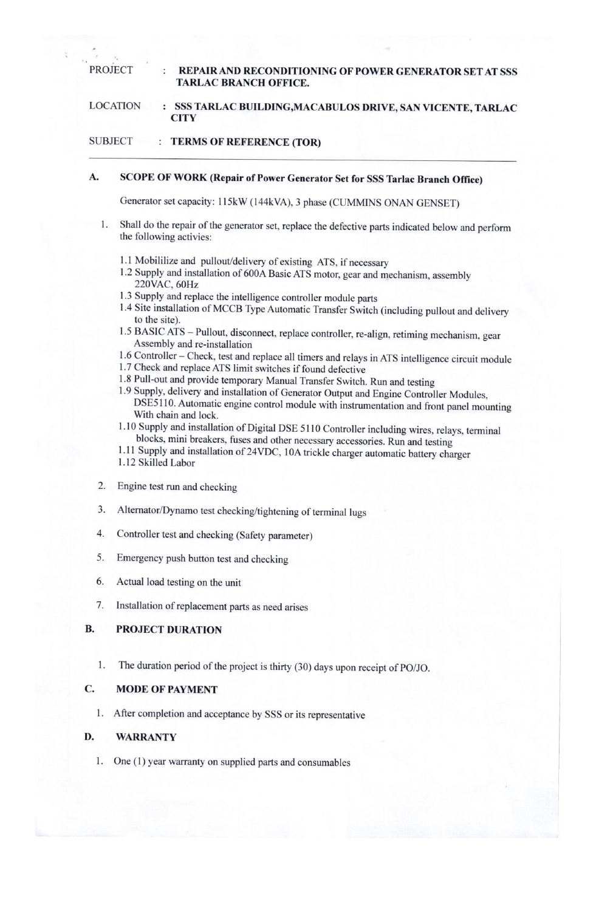**PROJECT** 

### REPAIR AND RECONDITIONING OF POWER GENERATOR SET AT SSS **TARLAC BRANCH OFFICE.**

#### **LOCATION** SSS TARLAC BUILDING, MACABULOS DRIVE, SAN VICENTE, TARLAC  $\cdot$ **CITY**

#### **SUBJECT** : TERMS OF REFERENCE (TOR)

#### A. SCOPE OF WORK (Repair of Power Generator Set for SSS Tarlac Branch Office)

Generator set capacity: 115kW (144kVA), 3 phase (CUMMINS ONAN GENSET)

- Shall do the repair of the generator set, replace the defective parts indicated below and perform the following activies:
	- 1.1 Mobililize and pullout/delivery of existing ATS, if necessary
	- 1.2 Supply and installation of 600A Basic ATS motor, gear and mechanism, assembly 220VAC, 60Hz
	- 1.3 Supply and replace the intelligence controller module parts
	- 1.4 Site installation of MCCB Type Automatic Transfer Switch (including pullout and delivery to the site).
	- 1.5 BASIC ATS Pullout, disconnect, replace controller, re-align, retiming mechanism, gear Assembly and re-installation
	- 1.6 Controller Check, test and replace all timers and relays in ATS intelligence circuit module
	- 1.7 Check and replace ATS limit switches if found defective
	- 1.8 Pull-out and provide temporary Manual Transfer Switch. Run and testing
	- 1.9 Supply, delivery and installation of Generator Output and Engine Controller Modules, DSE5110. Automatic engine control module with instrumentation and front panel mounting With chain and lock.
	- 1.10 Supply and installation of Digital DSE 5110 Controller including wires, relays, terminal blocks, mini breakers, fuses and other necessary accessories. Run and testing
	- 1.11 Supply and installation of 24VDC, 10A trickle charger automatic battery charger 1.12 Skilled Labor
- 2. Engine test run and checking
- Alternator/Dynamo test checking/tightening of terminal lugs 3.
- 4. Controller test and checking (Safety parameter)
- 5. Emergency push button test and checking
- 6. Actual load testing on the unit
- 7. Installation of replacement parts as need arises

#### **B. PROJECT DURATION**

The duration period of the project is thirty (30) days upon receipt of PO/JO. 1.

#### C. **MODE OF PAYMENT**

1. After completion and acceptance by SSS or its representative

#### D. **WARRANTY**

1. One (1) year warranty on supplied parts and consumables